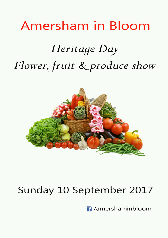# Amersham in Bloom

# Heritage Day Flower, fruit & produce show



# Sunday 10 September 2017

 $\blacksquare$  /amershaminbloom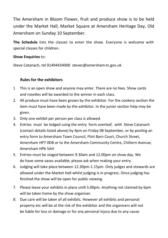The Amersham in Bloom Flower, fruit and produce show is to be held under the Market Hall, Market Square at Amersham Heritage Day, Old Amersham on Sunday 10 September.

**The Schedule** lists the classes to enter the show. Everyone is welcome with special classes for children.

#### **Show Enquiries** to:

Steve Catanach, tel 01494434000 stevec@amersham-tc.gov.uk

#### **Rules for the exhibitors**

- 1 This is an open show and anyone may enter. There are no fees. Show cards and rosettes will be awarded to the winner in each class.
- 2. All produce must have been grown by the exhibitor. For the cookery section the item must have been made by the exhibitor. In the junior section help may be given.
- 3. Only one exhibit per person per class is allowed.
- 4. Entries must be lodged using the entry form overleaf, with Steve Catanach (contact details listed above) by 4pm on Friday 08 September, or by posting an entry form to Amersham Town Council, Flint Barn Court, Church Street, Amersham HP7 0DB or to the Amersham Community Centre, Chiltern Avenue, Amersham HP6 5AH
- 5. Entries must be staged between 9.30am and 12.00pm on show day. We do have some vases available; please ask when making your entry.
- 6. Judging will take place between 12.30pm-1.15pm. Only judges and stewards are allowed under the Market Hall whilst judging is in progress. Once judging has finished the show will be open for public viewing.
- 7. Please leave your exhibits in place until 5.00pm. Anything not claimed by 6pm will be taken home by the show organiser.
- 8. Due care will be taken of all exhibits. However all exhibits and personal property etc will be at the risk of the exhibitor and the organisers will not be liable for loss or damage or for any personal injury due to any cause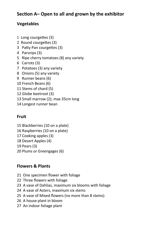# **Section A– Open to all and grown by the exhibitor**

# **Vegetables**

- 1 Long courgettes (3)
- 2 Round courgettes (3)
- 3 Patty Pan courgettes (3)
- 4 Parsnips (3)
- 5 Ripe cherry tomatoes (8) any variety
- 6 Carrots (3)
- 7 Potatoes (3) any variety
- 8 Onions (5) any variety
- 9 Runner beans (6)
- 10 French Beans (6)
- 11 Stems of chard (5)
- 12 Globe beetroot (3)
- 13 Small marrow (2); max 35cm long
- 14 Longest runner bean

### **Fruit**

15 Blackberries (10 on a plate) 16 Raspberries (10 on a plate) 17 Cooking apples (3) 18 Desert Apples (4)

19 Pears (3)

20 Plums or Greengages (6)

# **Flowers & Plants**

- 21 One specimen flower with foliage
- 22 Three flowers with foliage
- 23 A vase of Dahlias, maximum six blooms with foliage
- 24 A vase of Asters, maximum six stems
- 25 A vase of Mixed flowers (no more than 8 stems)
- 26 A house plant in bloom
- 27 An indoor foliage plant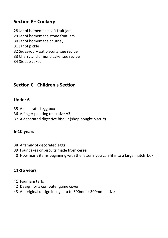# **Section B– Cookery**

- 28 Jar of homemade soft fruit jam 29 Jar of homemade stone fruit jam 30 Jar of homemade chutney 31 Jar of pickle 32 Six savoury oat biscuits; see recipe 33 Cherry and almond cake; see recipe
- 34 Six cup cakes

# **Section C– Children's Section**

#### **Under 6**

- 35 A decorated egg box
- 36 A finger painting (max size A3)
- 37 A decorated digestive biscuit (shop bought biscuit)

#### **6-10 years**

- 38 A family of decorated eggs
- 39 Four cakes or biscuits made from cereal
- 40 How many items beginning with the letter S you can fit into a large match box

#### **11-16 years**

- 41 Four jam tarts
- 42 Design for a computer game cover
- 43 An original design in lego up to 300mm x 300mm in size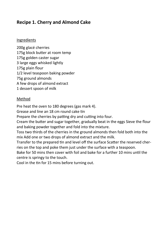# **Recipe 1. Cherry and Almond Cake**

#### Ingredients

200g glacé cherries 175g block butter at room temp 175g golden caster sugar 3 large eggs whisked lightly 175g plain flour 1/2 level teaspoon baking powder 75g ground almonds A few drops of almond extract 1 dessert spoon of milk

#### Method

Pre heat the oven to 180 degrees (gas mark 4).

Grease and line an 18 cm round cake tin

Prepare the cherries by patting dry and cutting into four.

Cream the butter and sugar together, gradually beat in the eggs Sieve the flour and baking powder together and fold into the mixture.

Toss two thirds of the cherries in the ground almonds then fold both into the mix Add one or two drops of almond extract and the milk.

Transfer to the prepared tin and level off the surface Scatter the reserved cherries on the top and poke them just under the surface with a teaspoon.

Bake for 50 mins then cover with foil and bake for a further 10 mins until the centre is springy to the touch.

Cool in the tin for 15 mins before turning out.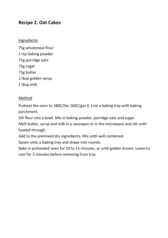### **Recipe 2. Oat Cakes**

#### Ingredients

75g wholemeal flour 1 tsp baking powder 75g porridge oats 75g sugar 75g butter 1 tbsp golden syrup 1 tbsp milk

#### Method

Preheat the oven to 180C/fan 160C/gas 4. Line a baking tray with baking parchment.

Sift flour into a bowl. Mix in baking powder, porridge oats and sugar.

Melt butter, syrup and milk in a saucepan or in the microwave and stir until heated through.

Add to the premixed dry ingredients. Mix until well combined.

Spoon onto a baking tray and shape into rounds.

Bake in preheated oven for 10 to 15 minutes, or until golden brown. Leave to cool for 5 minutes before removing from tray